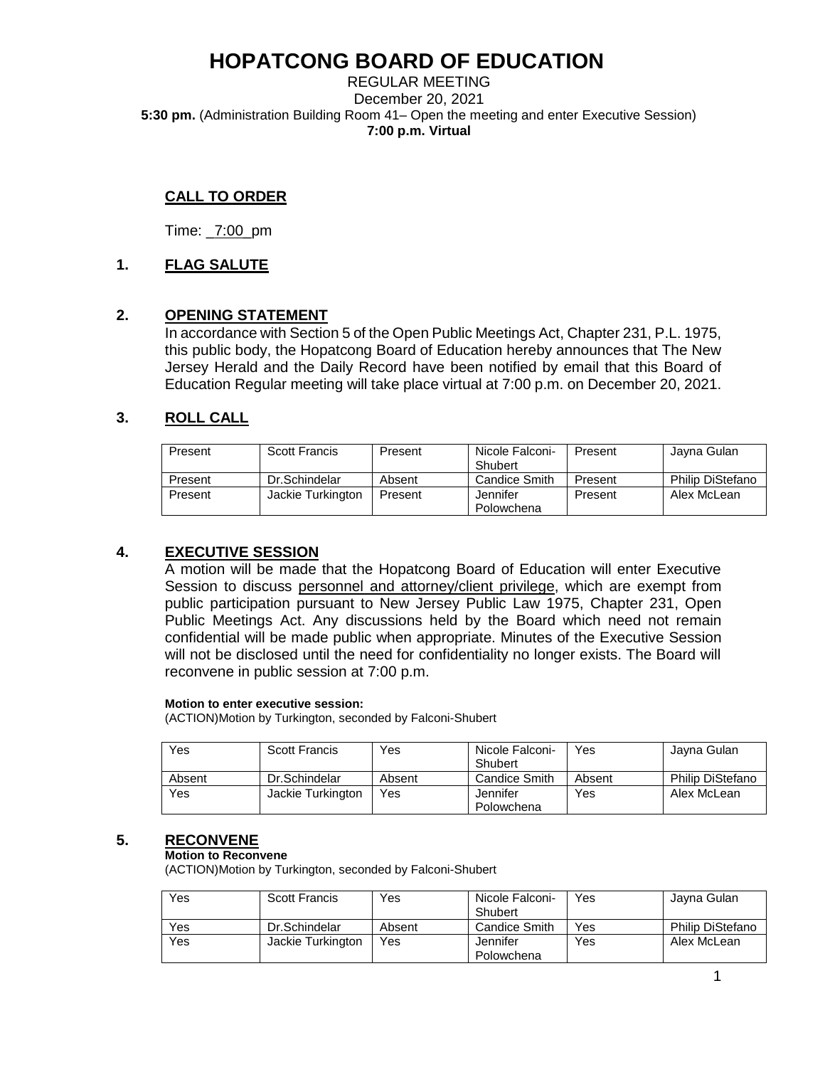REGULAR MEETING December 20, 2021 **5:30 pm.** (Administration Building Room 41– Open the meeting and enter Executive Session) **7:00 p.m. Virtual** 

## **CALL TO ORDER**

Time: \_7:00\_pm

## **1. FLAG SALUTE**

### **2. OPENING STATEMENT**

In accordance with Section 5 of the Open Public Meetings Act, Chapter 231, P.L. 1975, this public body, the Hopatcong Board of Education hereby announces that The New Jersey Herald and the Daily Record have been notified by email that this Board of Education Regular meeting will take place virtual at 7:00 p.m. on December 20, 2021.

## **3. ROLL CALL**

| Present | <b>Scott Francis</b> | Present | Nicole Falconi-<br>Shubert | Present | Javna Gulan      |
|---------|----------------------|---------|----------------------------|---------|------------------|
| Present | Dr.Schindelar        | Absent  | Candice Smith              | Present | Philip DiStefano |
| Present | Jackie Turkington    | Present | Jennifer                   | Present | Alex McLean      |
|         |                      |         | Polowchena                 |         |                  |

## **4. EXECUTIVE SESSION**

A motion will be made that the Hopatcong Board of Education will enter Executive Session to discuss personnel and attorney/client privilege, which are exempt from public participation pursuant to New Jersey Public Law 1975, Chapter 231, Open Public Meetings Act. Any discussions held by the Board which need not remain confidential will be made public when appropriate. Minutes of the Executive Session will not be disclosed until the need for confidentiality no longer exists. The Board will reconvene in public session at 7:00 p.m.

#### **Motion to enter executive session:**

(ACTION)Motion by Turkington, seconded by Falconi-Shubert

| Yes    | <b>Scott Francis</b> | Yes    | Nicole Falconi-<br>Shubert | Yes    | Javna Gulan             |
|--------|----------------------|--------|----------------------------|--------|-------------------------|
| Absent | Dr.Schindelar        | Absent | Candice Smith              | Absent | <b>Philip DiStefano</b> |
| Yes    | Jackie Turkington    | Yes    | Jennifer<br>Polowchena     | Yes    | Alex McLean             |

### **5. RECONVENE**

#### **Motion to Reconvene**

(ACTION)Motion by Turkington, seconded by Falconi-Shubert

| <b>Yes</b> | <b>Scott Francis</b> | Yes    | Nicole Falconi-<br>Shubert | Yes | Jayna Gulan      |
|------------|----------------------|--------|----------------------------|-----|------------------|
| Yes        | Dr.Schindelar        | Absent | Candice Smith              | Yes | Philip DiStefano |
| Yes        | Jackie Turkington    | Yes    | Jennifer<br>Polowchena     | Yes | Alex McLean      |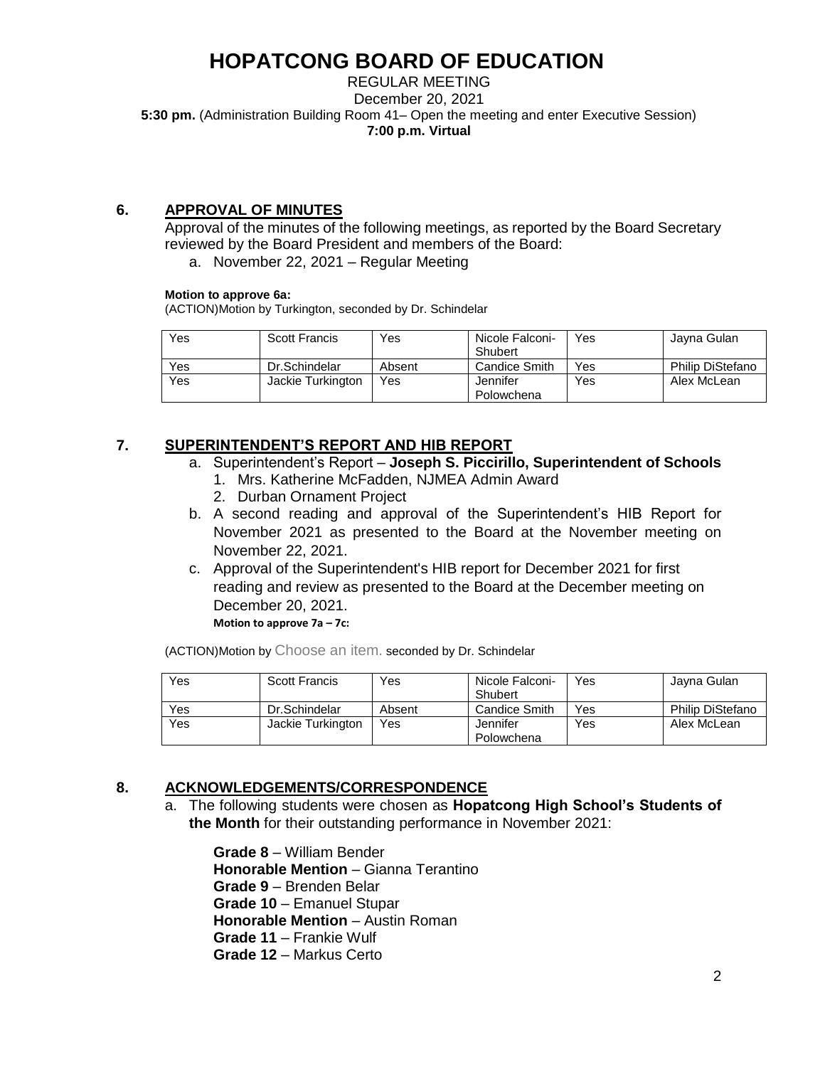REGULAR MEETING December 20, 2021 **5:30 pm.** (Administration Building Room 41– Open the meeting and enter Executive Session) **7:00 p.m. Virtual** 

## **6. APPROVAL OF MINUTES**

Approval of the minutes of the following meetings, as reported by the Board Secretary reviewed by the Board President and members of the Board:

a. November 22, 2021 – Regular Meeting

### **Motion to approve 6a:**

(ACTION)Motion by Turkington, seconded by Dr. Schindelar

| Yes | <b>Scott Francis</b> | Yes    | Nicole Falconi-<br>Shubert | Yes | Jayna Gulan      |
|-----|----------------------|--------|----------------------------|-----|------------------|
| Yes | Dr.Schindelar        | Absent | Candice Smith              | Yes | Philip DiStefano |
| Yes | Jackie Turkington    | Yes    | Jennifer                   | Yes | Alex McLean      |
|     |                      |        | Polowchena                 |     |                  |

## **7. SUPERINTENDENT'S REPORT AND HIB REPORT**

- a. Superintendent's Report **Joseph S. Piccirillo, Superintendent of Schools**
	- 1. Mrs. Katherine McFadden, NJMEA Admin Award
	- 2. Durban Ornament Project
- b. A second reading and approval of the Superintendent's HIB Report for November 2021 as presented to the Board at the November meeting on November 22, 2021.
- c. Approval of the Superintendent's HIB report for December 2021 for first reading and review as presented to the Board at the December meeting on December 20, 2021. **Motion to approve 7a – 7c:**

(ACTION)Motion by Choose an item. seconded by Dr. Schindelar

| Yes | Scott Francis     | Yes    | Nicole Falconi- | Yes | Jayna Gulan             |
|-----|-------------------|--------|-----------------|-----|-------------------------|
|     |                   |        | Shubert         |     |                         |
| Yes | Dr.Schindelar     | Absent | Candice Smith   | Yes | <b>Philip DiStefano</b> |
| Yes | Jackie Turkington | Yes    | Jennifer        | Yes | Alex McLean             |
|     |                   |        | Polowchena      |     |                         |

## **8. ACKNOWLEDGEMENTS/CORRESPONDENCE**

a. The following students were chosen as **Hopatcong High School's Students of the Month** for their outstanding performance in November 2021:

**Grade 8** – William Bender **Honorable Mention** – Gianna Terantino **Grade 9** – Brenden Belar **Grade 10** – Emanuel Stupar **Honorable Mention** – Austin Roman **Grade 11** – Frankie Wulf **Grade 12** – Markus Certo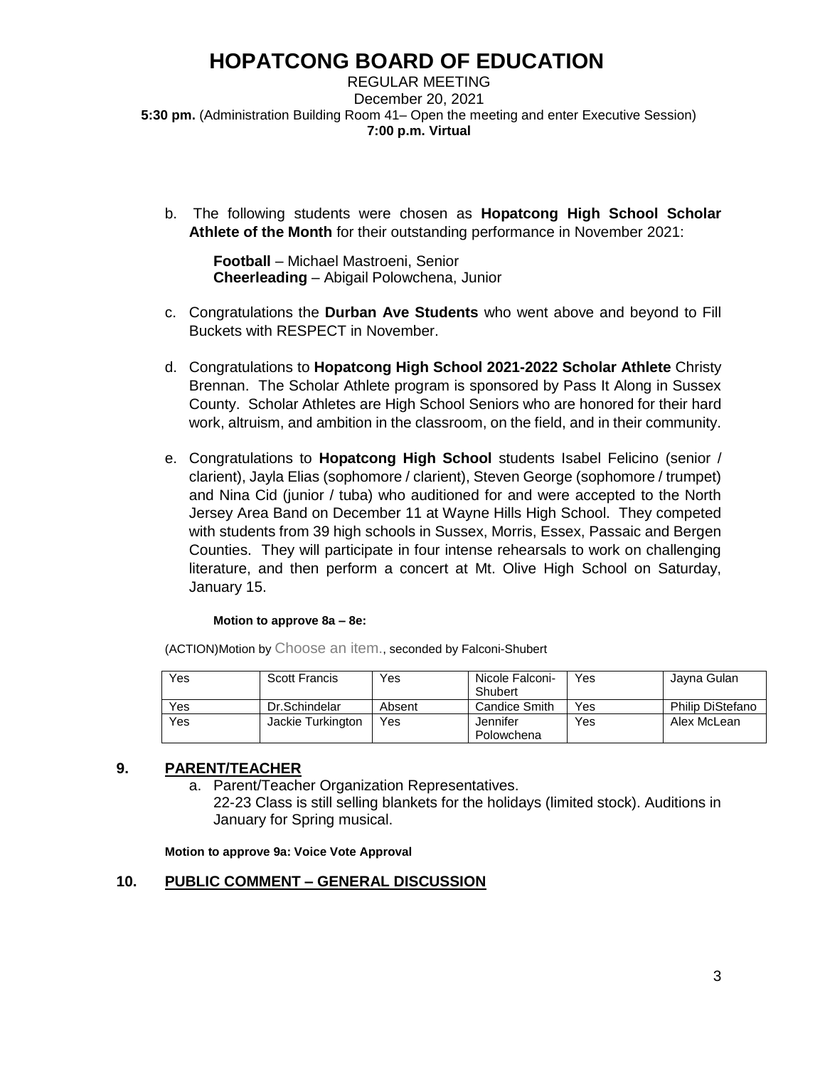REGULAR MEETING December 20, 2021 **5:30 pm.** (Administration Building Room 41– Open the meeting and enter Executive Session) **7:00 p.m. Virtual** 

b. The following students were chosen as **Hopatcong High School Scholar Athlete of the Month** for their outstanding performance in November 2021:

**Football** – Michael Mastroeni, Senior **Cheerleading** – Abigail Polowchena, Junior

- c. Congratulations the **Durban Ave Students** who went above and beyond to Fill Buckets with RESPECT in November.
- d. Congratulations to **Hopatcong High School 2021-2022 Scholar Athlete** Christy Brennan. The Scholar Athlete program is sponsored by Pass It Along in Sussex County. Scholar Athletes are High School Seniors who are honored for their hard work, altruism, and ambition in the classroom, on the field, and in their community.
- e. Congratulations to **Hopatcong High School** students Isabel Felicino (senior / clarient), Jayla Elias (sophomore / clarient), Steven George (sophomore / trumpet) and Nina Cid (junior / tuba) who auditioned for and were accepted to the North Jersey Area Band on December 11 at Wayne Hills High School. They competed with students from 39 high schools in Sussex, Morris, Essex, Passaic and Bergen Counties. They will participate in four intense rehearsals to work on challenging literature, and then perform a concert at Mt. Olive High School on Saturday, January 15.

### **Motion to approve 8a – 8e:**

| Yes | <b>Scott Francis</b> | Yes    | Nicole Falconi-<br>Shubert | Yes | Jayna Gulan      |
|-----|----------------------|--------|----------------------------|-----|------------------|
| Yes | Dr.Schindelar        | Absent | Candice Smith              | Yes | Philip DiStefano |
| Yes | Jackie Turkington    | Yes    | Jennifer                   | Yes | Alex McLean      |
|     |                      |        | Polowchena                 |     |                  |

(ACTION)Motion by Choose an item., seconded by Falconi-Shubert

## **9. PARENT/TEACHER**

a. Parent/Teacher Organization Representatives.

22-23 Class is still selling blankets for the holidays (limited stock). Auditions in January for Spring musical.

**Motion to approve 9a: Voice Vote Approval**

## **10. PUBLIC COMMENT – GENERAL DISCUSSION**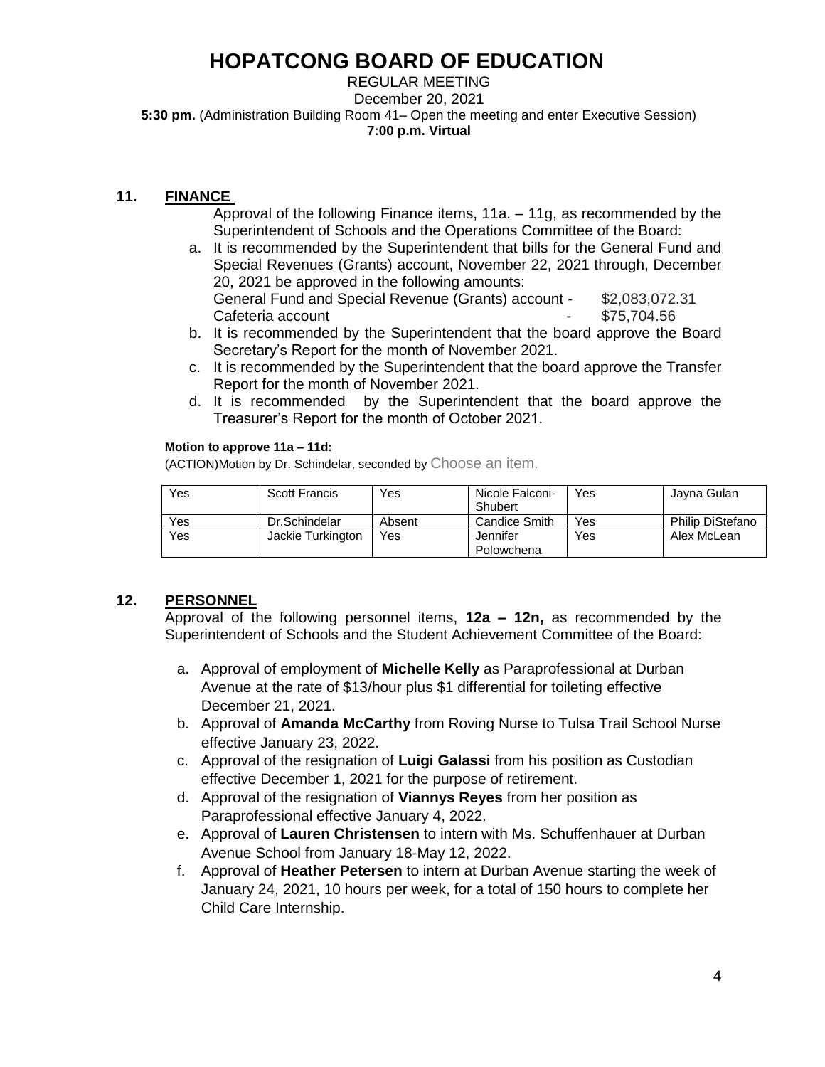REGULAR MEETING December 20, 2021 **5:30 pm.** (Administration Building Room 41– Open the meeting and enter Executive Session) **7:00 p.m. Virtual** 

## **11. FINANCE**

- Approval of the following Finance items, 11a. 11g, as recommended by the Superintendent of Schools and the Operations Committee of the Board:
- a. It is recommended by the Superintendent that bills for the General Fund and Special Revenues (Grants) account, November 22, 2021 through, December 20, 2021 be approved in the following amounts: General Fund and Special Revenue (Grants) account - \$2,083,072.31 Cafeteria account and the state of the state of the state of the state of the state of the state of the state o
- b. It is recommended by the Superintendent that the board approve the Board Secretary's Report for the month of November 2021.
- c. It is recommended by the Superintendent that the board approve the Transfer Report for the month of November 2021.
- d. It is recommended by the Superintendent that the board approve the Treasurer's Report for the month of October 2021.

### **Motion to approve 11a – 11d:**

(ACTION)Motion by Dr. Schindelar, seconded by Choose an item.

| Yes | Scott Francis     | Yes    | Nicole Falconi- | Yes | Javna Gulan             |
|-----|-------------------|--------|-----------------|-----|-------------------------|
|     |                   |        | Shubert         |     |                         |
| Yes | Dr.Schindelar     | Absent | Candice Smith   | Yes | <b>Philip DiStefano</b> |
| Yes | Jackie Turkington | Yes    | Jennifer        | Yes | Alex McLean             |
|     |                   |        | Polowchena      |     |                         |

## **12. PERSONNEL**

Approval of the following personnel items, **12a – 12n,** as recommended by the Superintendent of Schools and the Student Achievement Committee of the Board:

- a. Approval of employment of **Michelle Kelly** as Paraprofessional at Durban Avenue at the rate of \$13/hour plus \$1 differential for toileting effective December 21, 2021.
- b. Approval of **Amanda McCarthy** from Roving Nurse to Tulsa Trail School Nurse effective January 23, 2022.
- c. Approval of the resignation of **Luigi Galassi** from his position as Custodian effective December 1, 2021 for the purpose of retirement.
- d. Approval of the resignation of **Viannys Reyes** from her position as Paraprofessional effective January 4, 2022.
- e. Approval of **Lauren Christensen** to intern with Ms. Schuffenhauer at Durban Avenue School from January 18-May 12, 2022.
- f. Approval of **Heather Petersen** to intern at Durban Avenue starting the week of January 24, 2021, 10 hours per week, for a total of 150 hours to complete her Child Care Internship.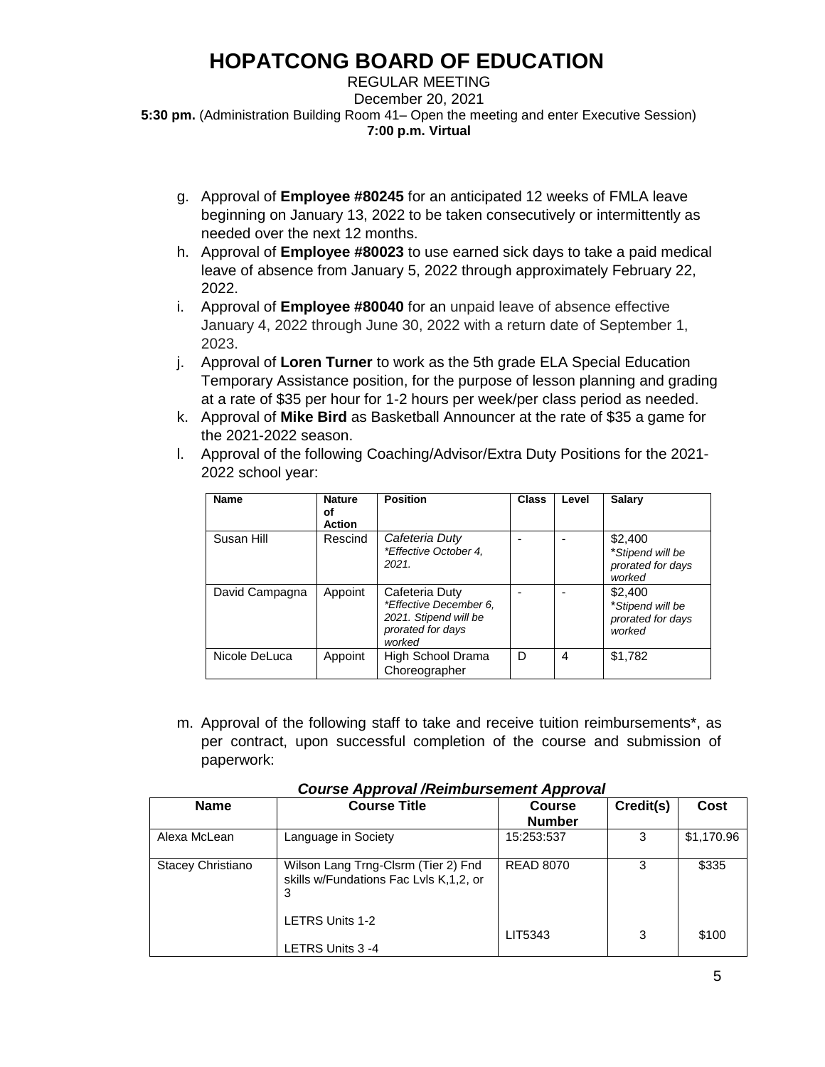REGULAR MEETING December 20, 2021 **5:30 pm.** (Administration Building Room 41– Open the meeting and enter Executive Session) **7:00 p.m. Virtual** 

- g. Approval of **Employee #80245** for an anticipated 12 weeks of FMLA leave beginning on January 13, 2022 to be taken consecutively or intermittently as needed over the next 12 months.
- h. Approval of **Employee #80023** to use earned sick days to take a paid medical leave of absence from January 5, 2022 through approximately February 22, 2022.
- i. Approval of **Employee #80040** for an unpaid leave of absence effective January 4, 2022 through June 30, 2022 with a return date of September 1, 2023.
- j. Approval of **Loren Turner** to work as the 5th grade ELA Special Education Temporary Assistance position, for the purpose of lesson planning and grading at a rate of \$35 per hour for 1-2 hours per week/per class period as needed.
- k. Approval of **Mike Bird** as Basketball Announcer at the rate of \$35 a game for the 2021-2022 season.
- l. Approval of the following Coaching/Advisor/Extra Duty Positions for the 2021- 2022 school year:

| Name           | <b>Nature</b><br>οf<br><b>Action</b> | <b>Position</b>                                                                                  | <b>Class</b>             | Level | Salary                                                     |
|----------------|--------------------------------------|--------------------------------------------------------------------------------------------------|--------------------------|-------|------------------------------------------------------------|
| Susan Hill     | Rescind                              | Cafeteria Duty<br>*Effective October 4,<br>2021                                                  | $\overline{\phantom{0}}$ |       | \$2,400<br>*Stipend will be<br>prorated for days<br>worked |
| David Campagna | Appoint                              | Cafeteria Duty<br>*Effective December 6,<br>2021. Stipend will be<br>prorated for days<br>worked |                          |       | \$2,400<br>*Stipend will be<br>prorated for days<br>worked |
| Nicole DeLuca  | Appoint                              | High School Drama<br>Choreographer                                                               | D                        | 4     | \$1,782                                                    |

m. Approval of the following staff to take and receive tuition reimbursements\*, as per contract, upon successful completion of the course and submission of paperwork:

| <b>Name</b>       | <b>Course Title</b>                                                                | <b>Course</b><br><b>Number</b> | Credit(s) | Cost       |
|-------------------|------------------------------------------------------------------------------------|--------------------------------|-----------|------------|
| Alexa McLean      | Language in Society                                                                | 15:253:537                     | 3         | \$1,170.96 |
| Stacey Christiano | Wilson Lang Trng-Clsrm (Tier 2) Fnd<br>skills w/Fundations Fac LvIs K,1,2, or<br>3 | <b>READ 8070</b>               | 3         | \$335      |
|                   | <b>LETRS Units 1-2</b><br>LETRS Units 3 -4                                         | LIT5343                        | 3         | \$100      |

### *Course Approval /Reimbursement Approval*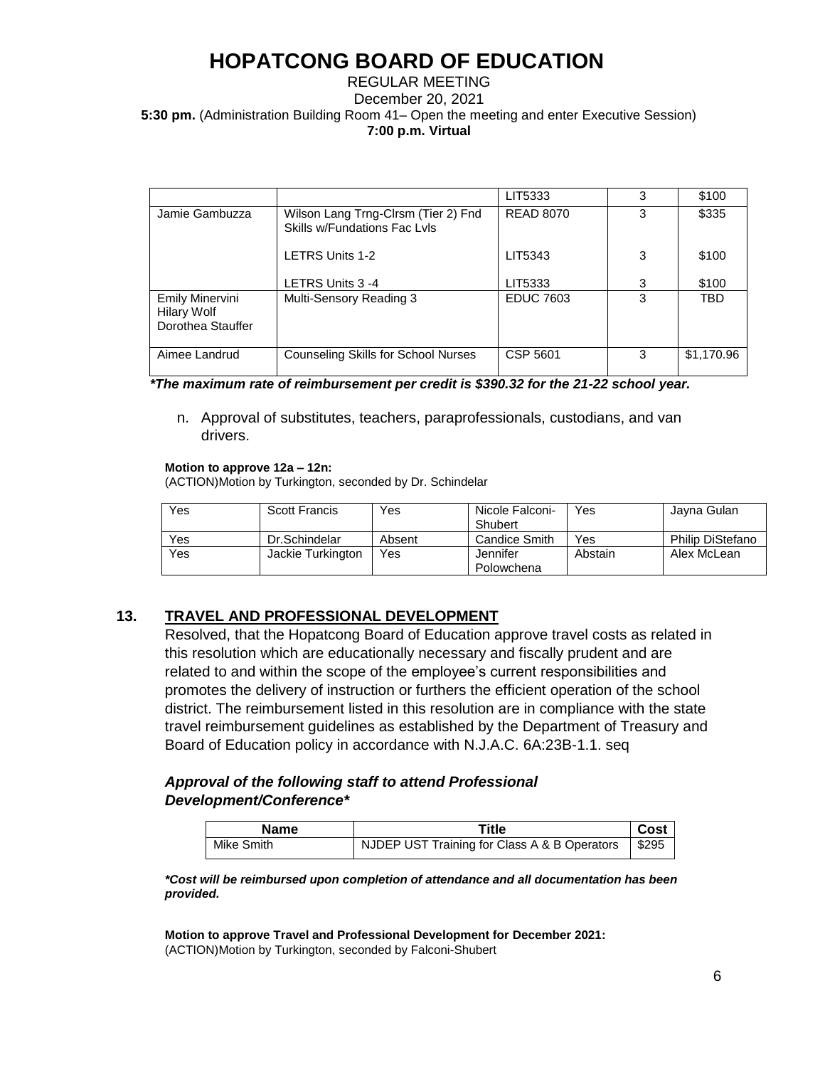### REGULAR MEETING December 20, 2021 **5:30 pm.** (Administration Building Room 41– Open the meeting and enter Executive Session) **7:00 p.m. Virtual**

|                                                                   |                                                                     | LIT5333          | 3 | \$100      |
|-------------------------------------------------------------------|---------------------------------------------------------------------|------------------|---|------------|
| Jamie Gambuzza                                                    | Wilson Lang Trng-Cirsm (Tier 2) Fnd<br>Skills w/Fundations Fac Lyls | <b>READ 8070</b> | 3 | \$335      |
|                                                                   | <b>LETRS Units 1-2</b>                                              | LIT5343          | 3 | \$100      |
|                                                                   | LETRS Units 3 -4                                                    | LIT5333          | 3 | \$100      |
| <b>Emily Minervini</b><br><b>Hilary Wolf</b><br>Dorothea Stauffer | Multi-Sensory Reading 3                                             | <b>EDUC 7603</b> | 3 | <b>TBD</b> |
| Aimee Landrud                                                     | <b>Counseling Skills for School Nurses</b>                          | CSP 5601         | 3 | \$1,170.96 |

 *\*The maximum rate of reimbursement per credit is \$390.32 for the 21-22 school year.*

n. Approval of substitutes, teachers, paraprofessionals, custodians, and van drivers.

#### **Motion to approve 12a – 12n:**

(ACTION)Motion by Turkington, seconded by Dr. Schindelar

| Yes | <b>Scott Francis</b> | Yes    | Nicole Falconi- | Yes     | Javna Gulan             |
|-----|----------------------|--------|-----------------|---------|-------------------------|
|     |                      |        | Shubert         |         |                         |
| Yes | Dr.Schindelar        | Absent | Candice Smith   | Yes     | <b>Philip DiStefano</b> |
| Yes | Jackie Turkington    | Yes    | Jennifer        | Abstain | Alex McLean             |
|     |                      |        | Polowchena      |         |                         |

## **13. TRAVEL AND PROFESSIONAL DEVELOPMENT**

Resolved, that the Hopatcong Board of Education approve travel costs as related in this resolution which are educationally necessary and fiscally prudent and are related to and within the scope of the employee's current responsibilities and promotes the delivery of instruction or furthers the efficient operation of the school district. The reimbursement listed in this resolution are in compliance with the state travel reimbursement guidelines as established by the Department of Treasury and Board of Education policy in accordance with N.J.A.C. 6A:23B-1.1. seq

### *Approval of the following staff to attend Professional Development/Conference\**

| Name       | Title                                                | Cost |
|------------|------------------------------------------------------|------|
| Mike Smith | NJDEP UST Training for Class A & B Operators   \$295 |      |

*\*Cost will be reimbursed upon completion of attendance and all documentation has been provided.* 

**Motion to approve Travel and Professional Development for December 2021:** (ACTION)Motion by Turkington, seconded by Falconi-Shubert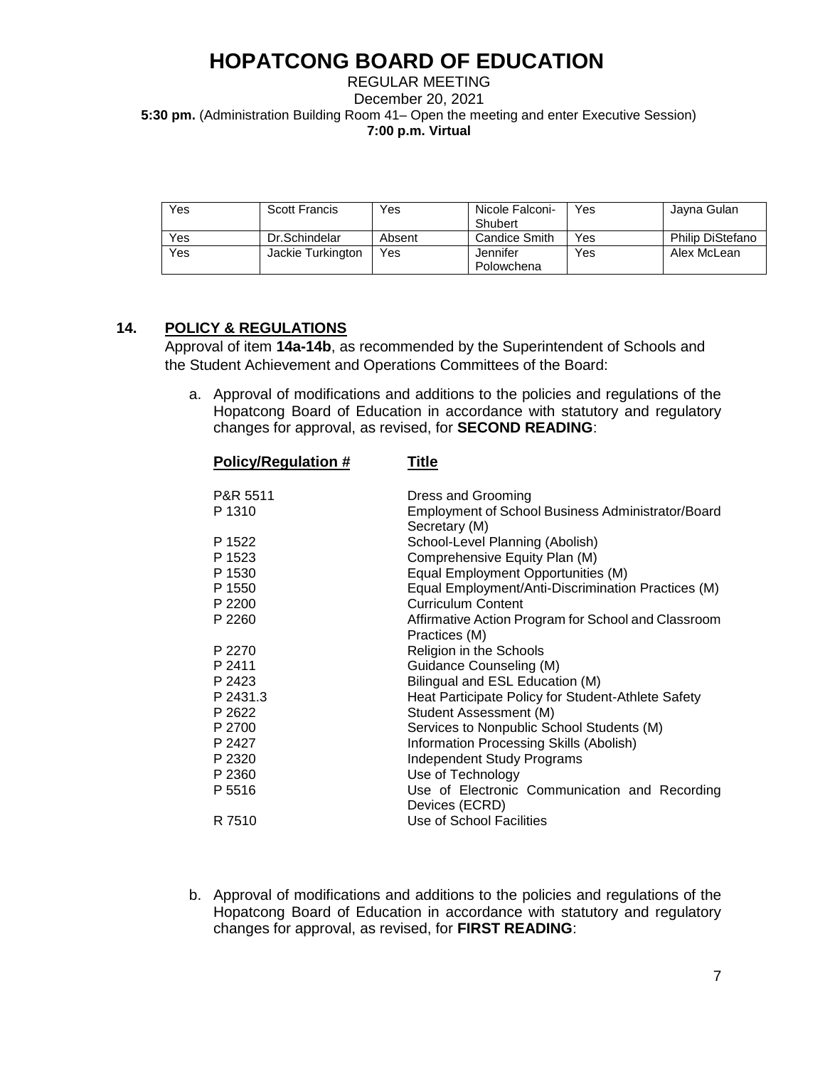REGULAR MEETING December 20, 2021 **5:30 pm.** (Administration Building Room 41– Open the meeting and enter Executive Session) **7:00 p.m. Virtual** 

| <b>Yes</b> | Scott Francis     | Yes    | Nicole Falconi- | Yes | Javna Gulan             |
|------------|-------------------|--------|-----------------|-----|-------------------------|
|            |                   |        | Shubert         |     |                         |
| Yes        | Dr.Schindelar     | Absent | Candice Smith   | Yes | <b>Philip DiStefano</b> |
| Yes        | Jackie Turkington | Yes    | Jennifer        | Yes | Alex McLean             |
|            |                   |        | Polowchena      |     |                         |

## **14. POLICY & REGULATIONS**

Approval of item **14a-14b**, as recommended by the Superintendent of Schools and the Student Achievement and Operations Committees of the Board:

a. Approval of modifications and additions to the policies and regulations of the Hopatcong Board of Education in accordance with statutory and regulatory changes for approval, as revised, for **SECOND READING**:

| <b>Policy/Regulation #</b> | <u>Title</u>                                                       |  |  |  |  |  |  |
|----------------------------|--------------------------------------------------------------------|--|--|--|--|--|--|
| P&R 5511                   | Dress and Grooming                                                 |  |  |  |  |  |  |
| P 1310                     | Employment of School Business Administrator/Board<br>Secretary (M) |  |  |  |  |  |  |
| P 1522                     | School-Level Planning (Abolish)                                    |  |  |  |  |  |  |
| P 1523                     | Comprehensive Equity Plan (M)                                      |  |  |  |  |  |  |
| P 1530                     | Equal Employment Opportunities (M)                                 |  |  |  |  |  |  |
| P 1550                     | Equal Employment/Anti-Discrimination Practices (M)                 |  |  |  |  |  |  |
| P 2200                     | Curriculum Content                                                 |  |  |  |  |  |  |
| P 2260                     | Affirmative Action Program for School and Classroom                |  |  |  |  |  |  |
|                            | Practices (M)                                                      |  |  |  |  |  |  |
| P 2270                     | Religion in the Schools                                            |  |  |  |  |  |  |
| P 2411                     | Guidance Counseling (M)                                            |  |  |  |  |  |  |
| P 2423                     | Bilingual and ESL Education (M)                                    |  |  |  |  |  |  |
| P 2431.3                   | Heat Participate Policy for Student-Athlete Safety                 |  |  |  |  |  |  |
| P 2622                     | Student Assessment (M)                                             |  |  |  |  |  |  |
| P 2700                     | Services to Nonpublic School Students (M)                          |  |  |  |  |  |  |
| P 2427                     | Information Processing Skills (Abolish)                            |  |  |  |  |  |  |
| P 2320                     | <b>Independent Study Programs</b>                                  |  |  |  |  |  |  |
| P 2360                     | Use of Technology                                                  |  |  |  |  |  |  |
| P 5516                     | Use of Electronic Communication and Recording<br>Devices (ECRD)    |  |  |  |  |  |  |
| R 7510                     | Use of School Facilities                                           |  |  |  |  |  |  |
|                            |                                                                    |  |  |  |  |  |  |

b. Approval of modifications and additions to the policies and regulations of the Hopatcong Board of Education in accordance with statutory and regulatory changes for approval, as revised, for **FIRST READING**: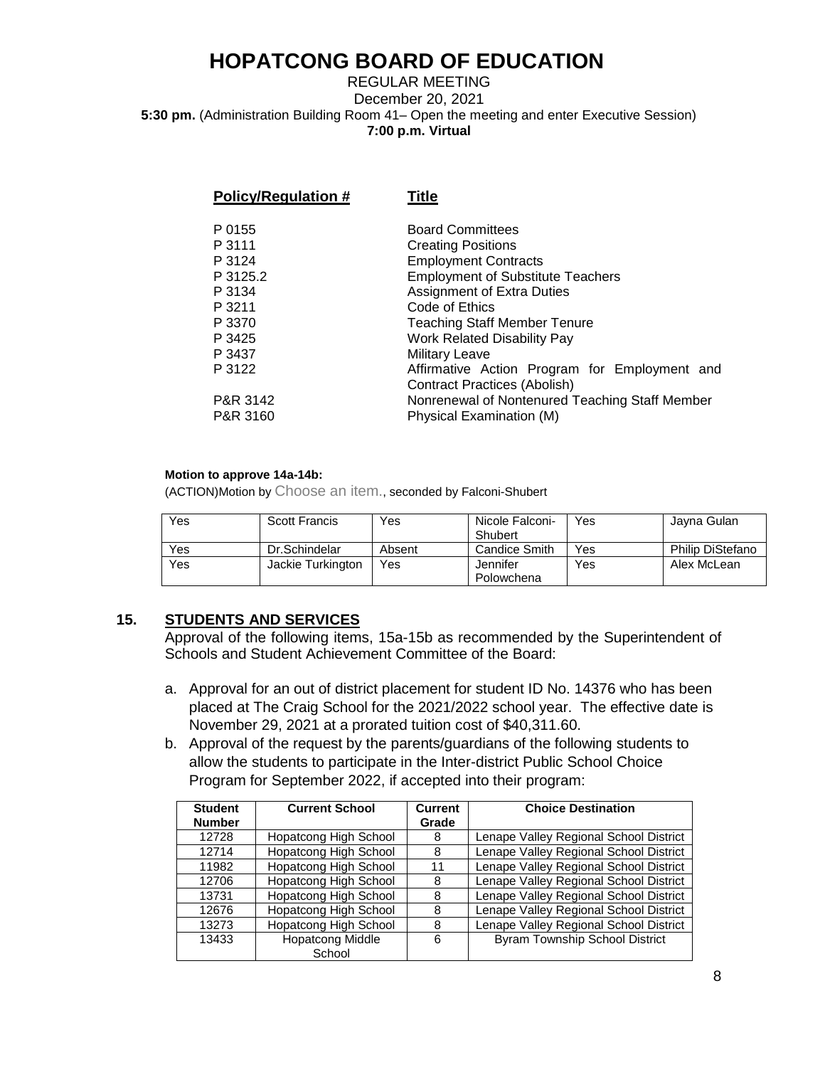### REGULAR MEETING December 20, 2021 **5:30 pm.** (Administration Building Room 41– Open the meeting and enter Executive Session) **7:00 p.m. Virtual**

| Policy/Regulation # | <b>Title</b>                                   |
|---------------------|------------------------------------------------|
| P 0155              | <b>Board Committees</b>                        |
| P 3111              | <b>Creating Positions</b>                      |
| P 3124              | <b>Employment Contracts</b>                    |
| P 3125.2            | <b>Employment of Substitute Teachers</b>       |
| P 3134              | <b>Assignment of Extra Duties</b>              |
| P 3211              | Code of Ethics                                 |
| P 3370              | <b>Teaching Staff Member Tenure</b>            |
| P 3425              | <b>Work Related Disability Pay</b>             |
| P 3437              | <b>Military Leave</b>                          |
| P 3122              | Affirmative Action Program for Employment and  |
|                     | Contract Practices (Abolish)                   |
| P&R 3142            | Nonrenewal of Nontenured Teaching Staff Member |
| P&R 3160            | Physical Examination (M)                       |
|                     |                                                |

#### **Motion to approve 14a-14b:**

(ACTION)Motion by Choose an item., seconded by Falconi-Shubert

| Yes | Scott Francis     | Yes    | Nicole Falconi-<br>Shubert | Yes | Javna Gulan             |
|-----|-------------------|--------|----------------------------|-----|-------------------------|
| Yes | Dr.Schindelar     | Absent | <b>Candice Smith</b>       | Yes | <b>Philip DiStefano</b> |
| Yes | Jackie Turkington | Yes    | Jennifer                   | Yes | Alex McLean             |
|     |                   |        | Polowchena                 |     |                         |

## **15. STUDENTS AND SERVICES**

Approval of the following items, 15a-15b as recommended by the Superintendent of Schools and Student Achievement Committee of the Board:

- a. Approval for an out of district placement for student ID No. 14376 who has been placed at The Craig School for the 2021/2022 school year. The effective date is November 29, 2021 at a prorated tuition cost of \$40,311.60.
- b. Approval of the request by the parents/guardians of the following students to allow the students to participate in the Inter-district Public School Choice Program for September 2022, if accepted into their program:

| <b>Student</b> | <b>Current School</b>        | <b>Current</b> | <b>Choice Destination</b>              |
|----------------|------------------------------|----------------|----------------------------------------|
| <b>Number</b>  |                              | Grade          |                                        |
| 12728          | <b>Hopatcong High School</b> | 8              | Lenape Valley Regional School District |
| 12714          | <b>Hopatcong High School</b> | 8              | Lenape Valley Regional School District |
| 11982          | <b>Hopatcong High School</b> | 11             | Lenape Valley Regional School District |
| 12706          | <b>Hopatcong High School</b> | 8              | Lenape Valley Regional School District |
| 13731          | <b>Hopatcong High School</b> | 8              | Lenape Valley Regional School District |
| 12676          | <b>Hopatcong High School</b> | 8              | Lenape Valley Regional School District |
| 13273          | <b>Hopatcong High School</b> | 8              | Lenape Valley Regional School District |
| 13433          | <b>Hopatcong Middle</b>      | 6              | <b>Byram Township School District</b>  |
|                | School                       |                |                                        |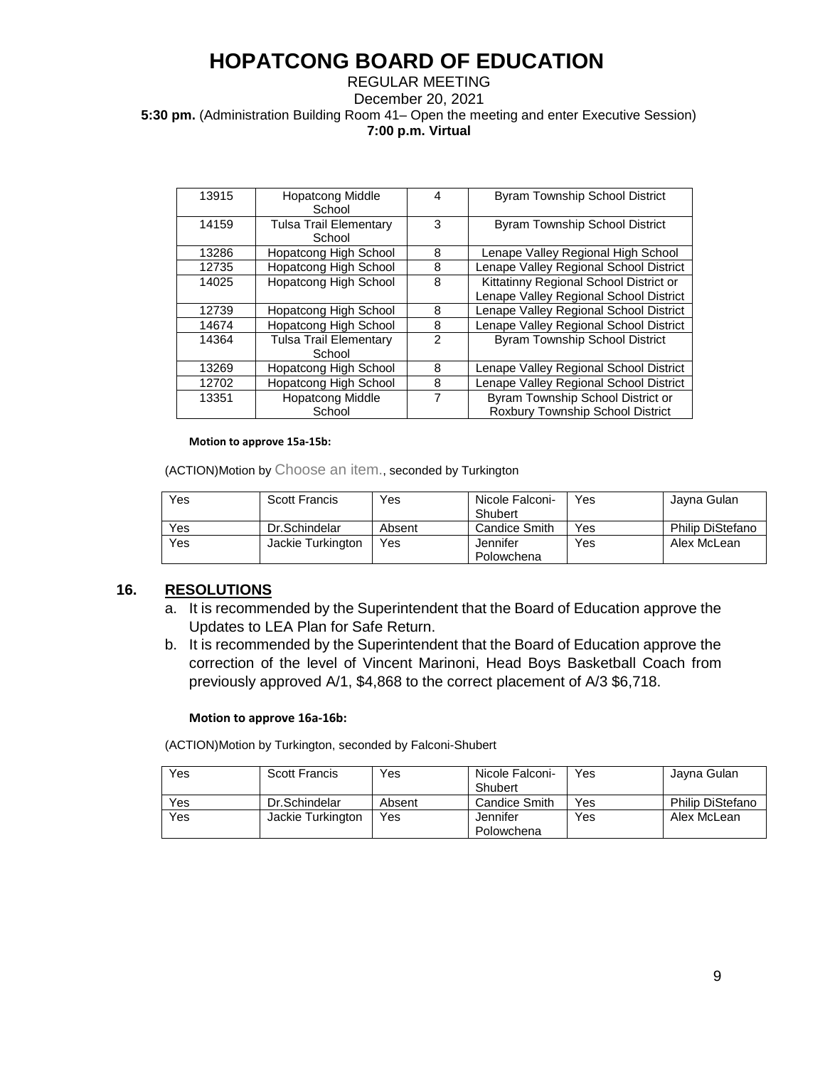### REGULAR MEETING December 20, 2021 **5:30 pm.** (Administration Building Room 41– Open the meeting and enter Executive Session) **7:00 p.m. Virtual**

| 13915 | <b>Hopatcong Middle</b><br>School       | 4              | <b>Byram Township School District</b>                                 |
|-------|-----------------------------------------|----------------|-----------------------------------------------------------------------|
| 14159 | <b>Tulsa Trail Elementary</b><br>School | 3              | <b>Byram Township School District</b>                                 |
|       |                                         |                |                                                                       |
| 13286 | Hopatcong High School                   | 8              | Lenape Valley Regional High School                                    |
| 12735 | <b>Hopatcong High School</b>            | 8              | Lenape Valley Regional School District                                |
| 14025 | <b>Hopatcong High School</b>            | 8              | Kittatinny Regional School District or                                |
|       |                                         |                | Lenape Valley Regional School District                                |
| 12739 | <b>Hopatcong High School</b>            | 8              | Lenape Valley Regional School District                                |
| 14674 | <b>Hopatcong High School</b>            | 8              | Lenape Valley Regional School District                                |
| 14364 | <b>Tulsa Trail Elementary</b><br>School | $\mathfrak{p}$ | <b>Byram Township School District</b>                                 |
| 13269 | Hopatcong High School                   | 8              | Lenape Valley Regional School District                                |
| 12702 | <b>Hopatcong High School</b>            | 8              | Lenape Valley Regional School District                                |
| 13351 | <b>Hopatcong Middle</b><br>School       | 7              | Byram Township School District or<br>Roxbury Township School District |

#### **Motion to approve 15a-15b:**

(ACTION)Motion by Choose an item., seconded by Turkington

| Yes | Scott Francis     | Yes    | Nicole Falconi-<br>Shubert | Yes | Javna Gulan      |
|-----|-------------------|--------|----------------------------|-----|------------------|
| Yes | Dr.Schindelar     | Absent | Candice Smith              | Yes | Philip DiStefano |
| Yes | Jackie Turkington | Yes    | Jennifer                   | Yes | Alex McLean      |
|     |                   |        | Polowchena                 |     |                  |

### **16. RESOLUTIONS**

- a. It is recommended by the Superintendent that the Board of Education approve the Updates to LEA Plan for Safe Return.
- b. It is recommended by the Superintendent that the Board of Education approve the correction of the level of Vincent Marinoni, Head Boys Basketball Coach from previously approved A/1, \$4,868 to the correct placement of A/3 \$6,718.

#### **Motion to approve 16a-16b:**

(ACTION)Motion by Turkington, seconded by Falconi-Shubert

| Yes | <b>Scott Francis</b> | Yes    | Nicole Falconi- | Yes | Jayna Gulan      |
|-----|----------------------|--------|-----------------|-----|------------------|
|     |                      |        | Shubert         |     |                  |
| Yes | Dr.Schindelar        | Absent | Candice Smith   | Yes | Philip DiStefano |
| Yes | Jackie Turkington    | Yes    | Jennifer        | Yes | Alex McLean      |
|     |                      |        | Polowchena      |     |                  |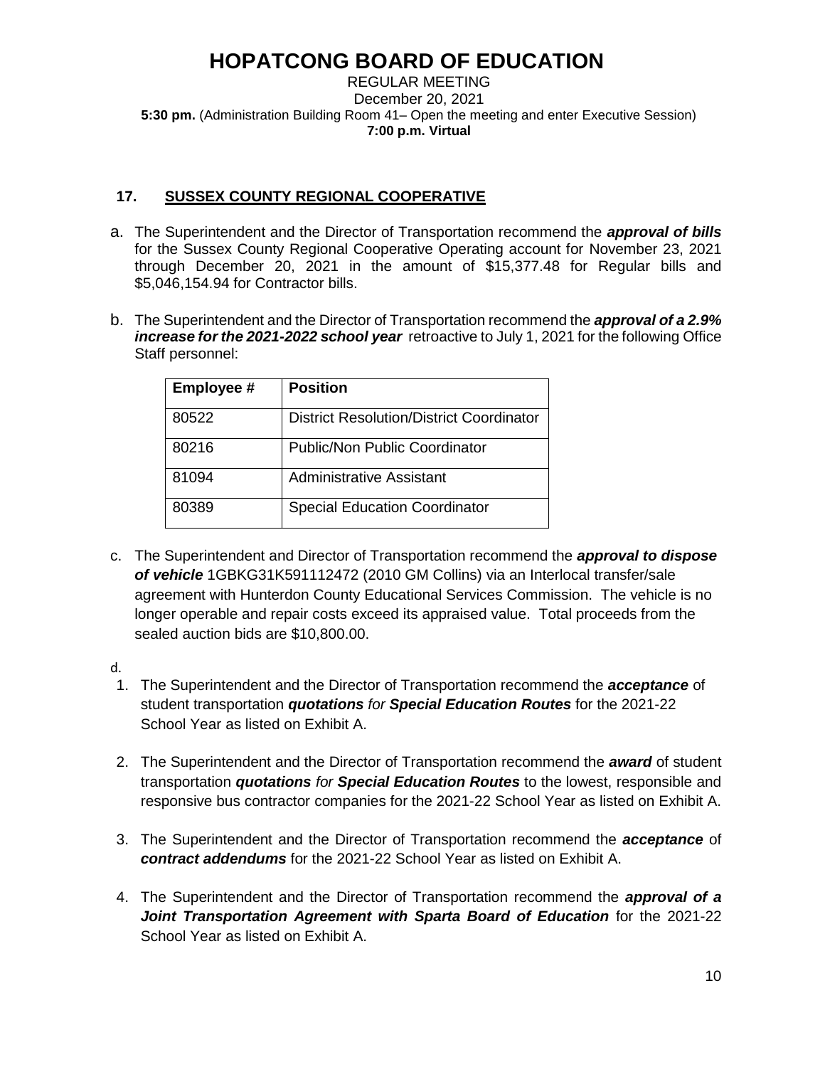REGULAR MEETING December 20, 2021 **5:30 pm.** (Administration Building Room 41– Open the meeting and enter Executive Session) **7:00 p.m. Virtual** 

## **17. SUSSEX COUNTY REGIONAL COOPERATIVE**

- a. The Superintendent and the Director of Transportation recommend the *approval of bills* for the Sussex County Regional Cooperative Operating account for November 23, 2021 through December 20, 2021 in the amount of \$15,377.48 for Regular bills and \$5,046,154.94 for Contractor bills.
- b. The Superintendent and the Director of Transportation recommend the *approval of a 2.9% increase for the 2021-2022 school year* retroactive to July 1, 2021 for the following Office Staff personnel:

| Employee # | <b>Position</b>                                 |
|------------|-------------------------------------------------|
| 80522      | <b>District Resolution/District Coordinator</b> |
| 80216      | <b>Public/Non Public Coordinator</b>            |
| 81094      | <b>Administrative Assistant</b>                 |
| 80389      | <b>Special Education Coordinator</b>            |

c. The Superintendent and Director of Transportation recommend the *approval to dispose of vehicle* 1GBKG31K591112472 (2010 GM Collins) via an Interlocal transfer/sale agreement with Hunterdon County Educational Services Commission. The vehicle is no longer operable and repair costs exceed its appraised value. Total proceeds from the sealed auction bids are \$10,800.00.

d.

- 1. The Superintendent and the Director of Transportation recommend the *acceptance* of student transportation *quotations for Special Education Routes* for the 2021-22 School Year as listed on Exhibit A.
- 2. The Superintendent and the Director of Transportation recommend the *award* of student transportation *quotations for Special Education Routes* to the lowest, responsible and responsive bus contractor companies for the 2021-22 School Year as listed on Exhibit A.
- 3. The Superintendent and the Director of Transportation recommend the *acceptance* of *contract addendums* for the 2021-22 School Year as listed on Exhibit A.
- 4. The Superintendent and the Director of Transportation recommend the *approval of a*  Joint Transportation Agreement with Sparta Board of Education for the 2021-22 School Year as listed on Exhibit A.